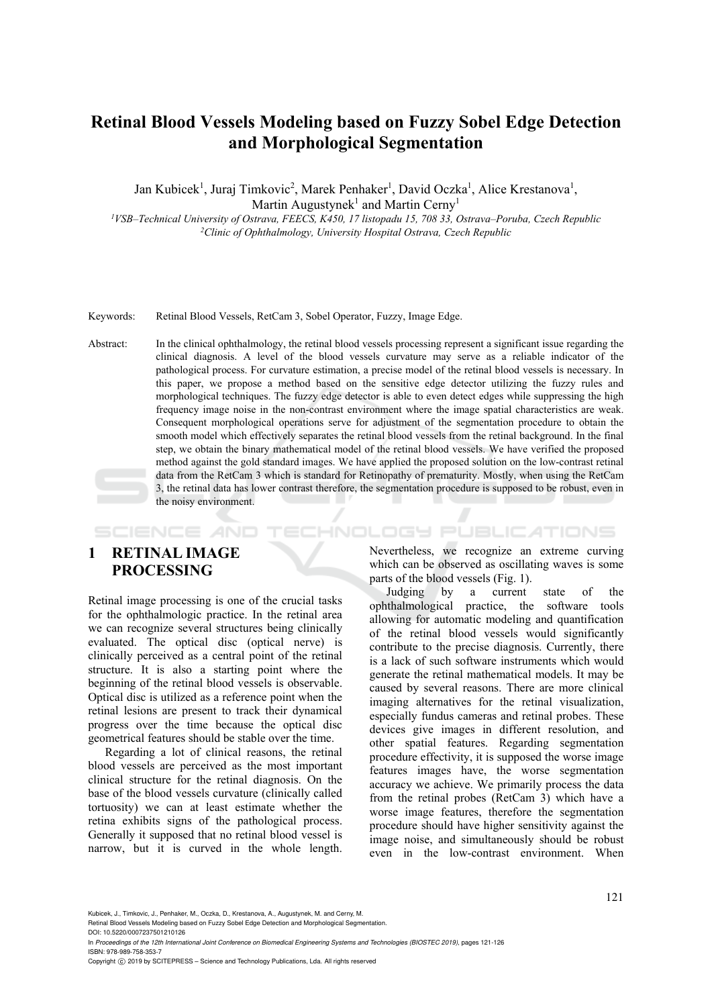# **Retinal Blood Vessels Modeling based on Fuzzy Sobel Edge Detection and Morphological Segmentation**

Jan Kubicek<sup>1</sup>, Juraj Timkovic<sup>2</sup>, Marek Penhaker<sup>1</sup>, David Oczka<sup>1</sup>, Alice Krestanova<sup>1</sup>, Martin Augustynek<sup>1</sup> and Martin Cerny<sup>1</sup>

*1VSB–Technical University of Ostrava, FEECS, K450, 17 listopadu 15, 708 33, Ostrava–Poruba, Czech Republic 2Clinic of Ophthalmology, University Hospital Ostrava, Czech Republic* 

Keywords: Retinal Blood Vessels, RetCam 3, Sobel Operator, Fuzzy, Image Edge.

Abstract: In the clinical ophthalmology, the retinal blood vessels processing represent a significant issue regarding the clinical diagnosis. A level of the blood vessels curvature may serve as a reliable indicator of the pathological process. For curvature estimation, a precise model of the retinal blood vessels is necessary. In this paper, we propose a method based on the sensitive edge detector utilizing the fuzzy rules and morphological techniques. The fuzzy edge detector is able to even detect edges while suppressing the high frequency image noise in the non-contrast environment where the image spatial characteristics are weak. Consequent morphological operations serve for adjustment of the segmentation procedure to obtain the smooth model which effectively separates the retinal blood vessels from the retinal background. In the final step, we obtain the binary mathematical model of the retinal blood vessels. We have verified the proposed method against the gold standard images. We have applied the proposed solution on the low-contrast retinal data from the RetCam 3 which is standard for Retinopathy of prematurity. Mostly, when using the RetCam 3, the retinal data has lower contrast therefore, the segmentation procedure is supposed to be robust, even in the noisy environment.

# **1 RETINAL IMAGE PROCESSING**

**SCIENCE AND** 

Retinal image processing is one of the crucial tasks for the ophthalmologic practice. In the retinal area we can recognize several structures being clinically evaluated. The optical disc (optical nerve) is clinically perceived as a central point of the retinal structure. It is also a starting point where the beginning of the retinal blood vessels is observable. Optical disc is utilized as a reference point when the retinal lesions are present to track their dynamical progress over the time because the optical disc geometrical features should be stable over the time.

Regarding a lot of clinical reasons, the retinal blood vessels are perceived as the most important clinical structure for the retinal diagnosis. On the base of the blood vessels curvature (clinically called tortuosity) we can at least estimate whether the retina exhibits signs of the pathological process. Generally it supposed that no retinal blood vessel is narrow, but it is curved in the whole length.

Nevertheless, we recognize an extreme curving which can be observed as oscillating waves is some parts of the blood vessels (Fig. 1).

HNOLOGY PUBLICATIONS

Judging by a current state of the ophthalmological practice, the software tools allowing for automatic modeling and quantification of the retinal blood vessels would significantly contribute to the precise diagnosis. Currently, there is a lack of such software instruments which would generate the retinal mathematical models. It may be caused by several reasons. There are more clinical imaging alternatives for the retinal visualization, especially fundus cameras and retinal probes. These devices give images in different resolution, and other spatial features. Regarding segmentation procedure effectivity, it is supposed the worse image features images have, the worse segmentation accuracy we achieve. We primarily process the data from the retinal probes (RetCam 3) which have a worse image features, therefore the segmentation procedure should have higher sensitivity against the image noise, and simultaneously should be robust even in the low-contrast environment. When

Kubicek, J., Timkovic, J., Penhaker, M., Oczka, D., Krestanova, A., Augustynek, M. and Cerny, M.

Retinal Blood Vessels Modeling based on Fuzzy Sobel Edge Detection and Morphological Segmentation. DOI: 10.5220/0007237501210126

In *Proceedings of the 12th International Joint Conference on Biomedical Engineering Systems and Technologies (BIOSTEC 2019)*, pages 121-126 ISBN: 978-989-758-353-7

Copyright C 2019 by SCITEPRESS – Science and Technology Publications, Lda. All rights reserved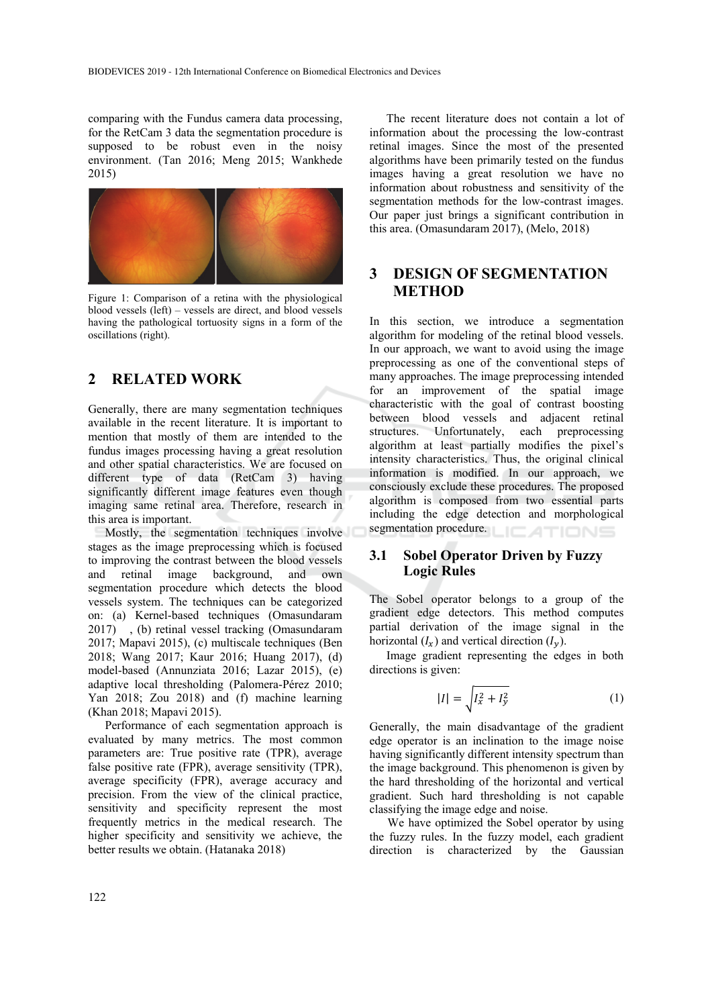comparing with the Fundus camera data processing, for the RetCam 3 data the segmentation procedure is supposed to be robust even in the noisy environment. (Tan 2016; Meng 2015; Wankhede 2015)



Figure 1: Comparison of a retina with the physiological blood vessels (left) – vessels are direct, and blood vessels having the pathological tortuosity signs in a form of the oscillations (right).

# **2 RELATED WORK**

Generally, there are many segmentation techniques available in the recent literature. It is important to mention that mostly of them are intended to the fundus images processing having a great resolution and other spatial characteristics. We are focused on different type of data (RetCam 3) having significantly different image features even though imaging same retinal area. Therefore, research in this area is important.

Mostly, the segmentation techniques involve stages as the image preprocessing which is focused to improving the contrast between the blood vessels and retinal image background, and own segmentation procedure which detects the blood vessels system. The techniques can be categorized on: (a) Kernel-based techniques (Omasundaram 2017) , (b) retinal vessel tracking (Omasundaram 2017; Mapavi 2015), (c) multiscale techniques (Ben 2018; Wang 2017; Kaur 2016; Huang 2017), (d) model-based (Annunziata 2016; Lazar 2015), (e) adaptive local thresholding (Palomera-Pérez 2010; Yan 2018; Zou 2018) and (f) machine learning (Khan 2018; Mapavi 2015).

Performance of each segmentation approach is evaluated by many metrics. The most common parameters are: True positive rate (TPR), average false positive rate (FPR), average sensitivity (TPR), average specificity (FPR), average accuracy and precision. From the view of the clinical practice, sensitivity and specificity represent the most frequently metrics in the medical research. The higher specificity and sensitivity we achieve, the better results we obtain. (Hatanaka 2018)

The recent literature does not contain a lot of information about the processing the low-contrast retinal images. Since the most of the presented algorithms have been primarily tested on the fundus images having a great resolution we have no information about robustness and sensitivity of the segmentation methods for the low-contrast images. Our paper just brings a significant contribution in this area. (Omasundaram 2017), (Melo, 2018)

### **3 DESIGN OF SEGMENTATION METHOD**

In this section, we introduce a segmentation algorithm for modeling of the retinal blood vessels. In our approach, we want to avoid using the image preprocessing as one of the conventional steps of many approaches. The image preprocessing intended for an improvement of the spatial image characteristic with the goal of contrast boosting between blood vessels and adjacent retinal structures. Unfortunately, each preprocessing algorithm at least partially modifies the pixel's intensity characteristics. Thus, the original clinical information is modified. In our approach, we consciously exclude these procedures. The proposed algorithm is composed from two essential parts including the edge detection and morphological segmentation procedure.

### **3.1 Sobel Operator Driven by Fuzzy Logic Rules**

The Sobel operator belongs to a group of the gradient edge detectors. This method computes partial derivation of the image signal in the horizontal  $(I_x)$  and vertical direction  $(I_y)$ .

Image gradient representing the edges in both directions is given:

$$
|I| = \sqrt{I_x^2 + I_y^2}
$$
 (1)

Generally, the main disadvantage of the gradient edge operator is an inclination to the image noise having significantly different intensity spectrum than the image background. This phenomenon is given by the hard thresholding of the horizontal and vertical gradient. Such hard thresholding is not capable classifying the image edge and noise.

We have optimized the Sobel operator by using the fuzzy rules. In the fuzzy model, each gradient direction is characterized by the Gaussian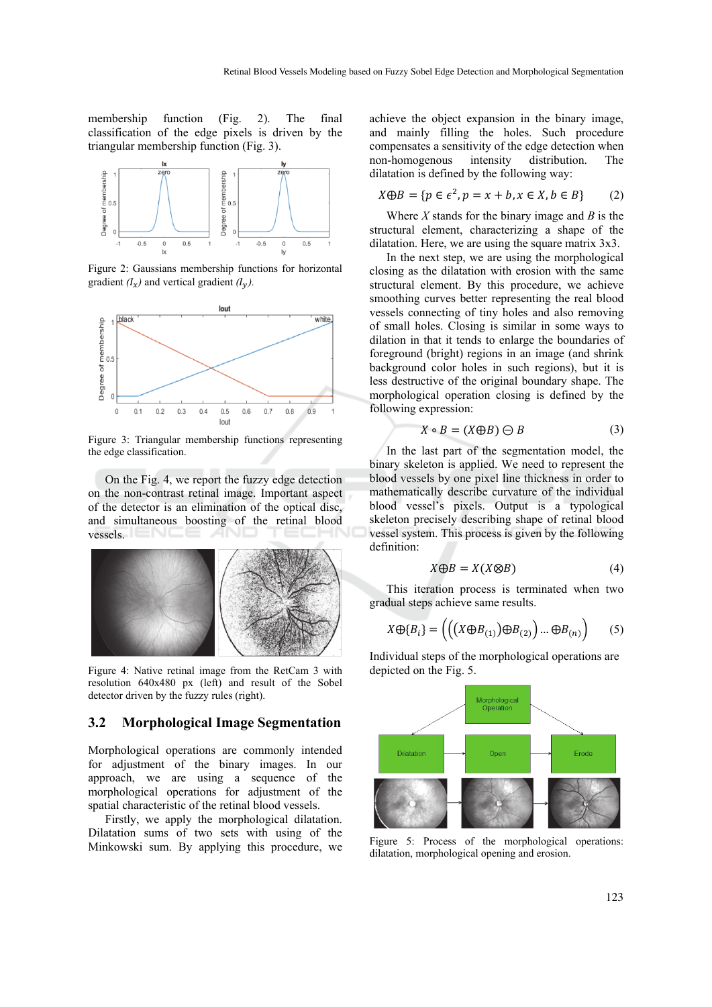membership function (Fig. 2). The final classification of the edge pixels is driven by the triangular membership function (Fig. 3).



Figure 2: Gaussians membership functions for horizontal gradient  $(I_x)$  and vertical gradient  $(I_y)$ .



Figure 3: Triangular membership functions representing the edge classification.

On the Fig. 4, we report the fuzzy edge detection on the non-contrast retinal image. Important aspect of the detector is an elimination of the optical disc, and simultaneous boosting of the retinal blood vessels.



Figure 4: Native retinal image from the RetCam 3 with resolution 640x480 px (left) and result of the Sobel detector driven by the fuzzy rules (right).

#### **3.2 Morphological Image Segmentation**

Morphological operations are commonly intended for adjustment of the binary images. In our approach, we are using a sequence of the morphological operations for adjustment of the spatial characteristic of the retinal blood vessels.

Firstly, we apply the morphological dilatation. Dilatation sums of two sets with using of the Minkowski sum. By applying this procedure, we

achieve the object expansion in the binary image, and mainly filling the holes. Such procedure compensates a sensitivity of the edge detection when non-homogenous intensity distribution. The dilatation is defined by the following way:

$$
X \oplus B = \{ p \in \epsilon^2, p = x + b, x \in X, b \in B \}
$$
 (2)

Where *X* stands for the binary image and *B* is the structural element, characterizing a shape of the dilatation. Here, we are using the square matrix 3x3.

In the next step, we are using the morphological closing as the dilatation with erosion with the same structural element. By this procedure, we achieve smoothing curves better representing the real blood vessels connecting of tiny holes and also removing of small holes. Closing is similar in some ways to dilation in that it tends to enlarge the boundaries of foreground (bright) regions in an image (and shrink background color holes in such regions), but it is less destructive of the original boundary shape. The morphological operation closing is defined by the following expression:

$$
X \circ B = (X \oplus B) \ominus B \tag{3}
$$

In the last part of the segmentation model, the binary skeleton is applied. We need to represent the blood vessels by one pixel line thickness in order to mathematically describe curvature of the individual blood vessel's pixels. Output is a typological skeleton precisely describing shape of retinal blood vessel system. This process is given by the following definition:

$$
X \oplus B = X(X \otimes B) \tag{4}
$$

This iteration process is terminated when two gradual steps achieve same results.

$$
X \oplus \{B_i\} = \left( \left( \left( X \oplus B_{(1)} \right) \oplus B_{(2)} \right) \dots \oplus B_{(n)} \right) \tag{5}
$$

Individual steps of the morphological operations are depicted on the Fig. 5.



Figure 5: Process of the morphological operations: dilatation, morphological opening and erosion.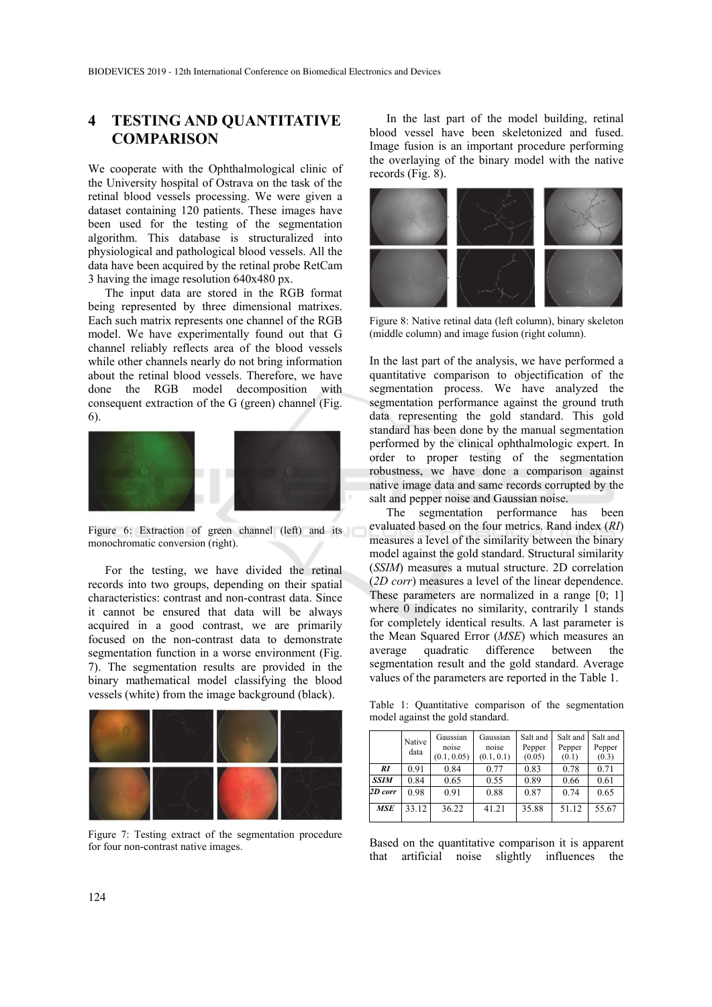# **4 TESTING AND QUANTITATIVE COMPARISON**

We cooperate with the Ophthalmological clinic of the University hospital of Ostrava on the task of the retinal blood vessels processing. We were given a dataset containing 120 patients. These images have been used for the testing of the segmentation algorithm. This database is structuralized into physiological and pathological blood vessels. All the data have been acquired by the retinal probe RetCam 3 having the image resolution 640x480 px.

The input data are stored in the RGB format being represented by three dimensional matrixes. Each such matrix represents one channel of the RGB model. We have experimentally found out that G channel reliably reflects area of the blood vessels while other channels nearly do not bring information about the retinal blood vessels. Therefore, we have done the RGB model decomposition with consequent extraction of the G (green) channel (Fig. 6).



Figure 6: Extraction of green channel (left) and its monochromatic conversion (right).

For the testing, we have divided the retinal records into two groups, depending on their spatial characteristics: contrast and non-contrast data. Since it cannot be ensured that data will be always acquired in a good contrast, we are primarily focused on the non-contrast data to demonstrate segmentation function in a worse environment (Fig. 7). The segmentation results are provided in the binary mathematical model classifying the blood vessels (white) from the image background (black).



Figure 7: Testing extract of the segmentation procedure for four non-contrast native images.

In the last part of the model building, retinal blood vessel have been skeletonized and fused. Image fusion is an important procedure performing the overlaying of the binary model with the native records (Fig. 8).



Figure 8: Native retinal data (left column), binary skeleton (middle column) and image fusion (right column).

In the last part of the analysis, we have performed a quantitative comparison to objectification of the segmentation process. We have analyzed the segmentation performance against the ground truth data representing the gold standard. This gold standard has been done by the manual segmentation performed by the clinical ophthalmologic expert. In order to proper testing of the segmentation robustness, we have done a comparison against native image data and same records corrupted by the salt and pepper noise and Gaussian noise.

The segmentation performance has been evaluated based on the four metrics. Rand index (*RI*) measures a level of the similarity between the binary model against the gold standard. Structural similarity (*SSIM*) measures a mutual structure. 2D correlation (*2D corr*) measures a level of the linear dependence. These parameters are normalized in a range [0; 1] where 0 indicates no similarity, contrarily 1 stands for completely identical results. A last parameter is the Mean Squared Error (*MSE*) which measures an average quadratic difference between the segmentation result and the gold standard. Average values of the parameters are reported in the Table 1.

Table 1: Quantitative comparison of the segmentation model against the gold standard.

|             | Native<br>data | Gaussian<br>noise<br>(0.1, 0.05) | Gaussian<br>noise<br>(0.1, 0.1) | Salt and<br>Pepper<br>(0.05) | Salt and<br>Pepper<br>(0.1) | Salt and<br>Pepper<br>(0.3) |
|-------------|----------------|----------------------------------|---------------------------------|------------------------------|-----------------------------|-----------------------------|
| RI          | 0.91           | 0.84                             | 0.77                            | 0.83                         | 0.78                        | 0.71                        |
| <b>SSIM</b> | 0.84           | 0.65                             | 0.55                            | 0.89                         | 0.66                        | 0.61                        |
| 2D corr     | 0.98           | 0.91                             | 0.88                            | 0.87                         | 0.74                        | 0.65                        |
| <b>MSE</b>  | 33.12          | 36.22                            | 41.21                           | 35.88                        | 51.12                       | 55.67                       |

Based on the quantitative comparison it is apparent that artificial noise slightly influences the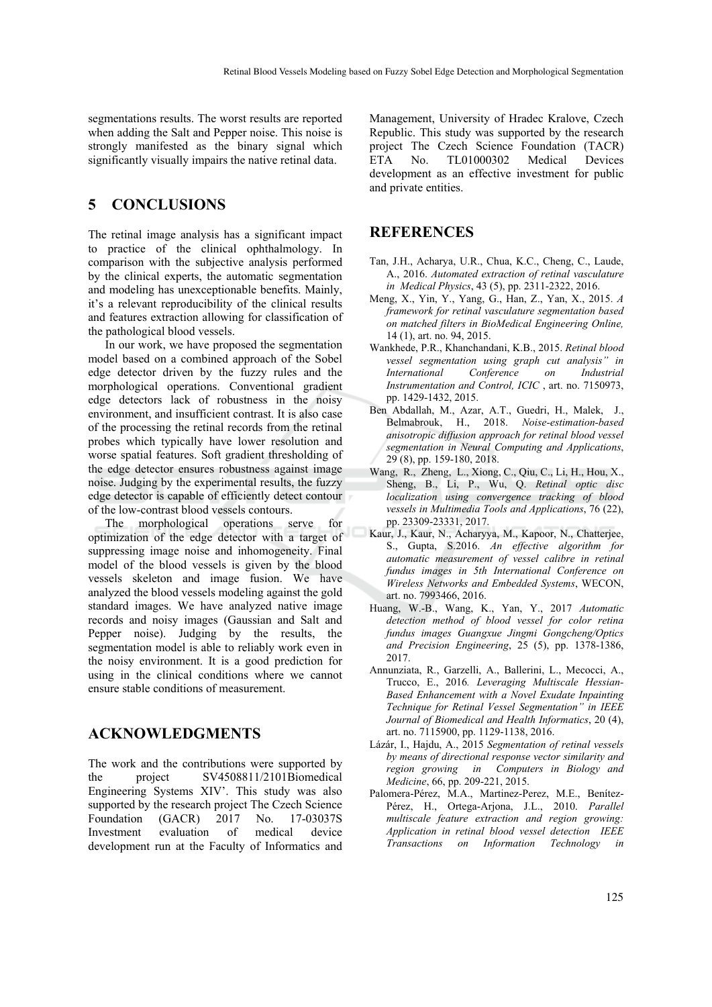segmentations results. The worst results are reported when adding the Salt and Pepper noise. This noise is strongly manifested as the binary signal which significantly visually impairs the native retinal data.

### **5 CONCLUSIONS**

The retinal image analysis has a significant impact to practice of the clinical ophthalmology. In comparison with the subjective analysis performed by the clinical experts, the automatic segmentation and modeling has unexceptionable benefits. Mainly, it's a relevant reproducibility of the clinical results and features extraction allowing for classification of the pathological blood vessels.

In our work, we have proposed the segmentation model based on a combined approach of the Sobel edge detector driven by the fuzzy rules and the morphological operations. Conventional gradient edge detectors lack of robustness in the noisy environment, and insufficient contrast. It is also case of the processing the retinal records from the retinal probes which typically have lower resolution and worse spatial features. Soft gradient thresholding of the edge detector ensures robustness against image noise. Judging by the experimental results, the fuzzy edge detector is capable of efficiently detect contour of the low-contrast blood vessels contours.

The morphological operations serve for optimization of the edge detector with a target of suppressing image noise and inhomogeneity. Final model of the blood vessels is given by the blood vessels skeleton and image fusion. We have analyzed the blood vessels modeling against the gold standard images. We have analyzed native image records and noisy images (Gaussian and Salt and Pepper noise). Judging by the results, the segmentation model is able to reliably work even in the noisy environment. It is a good prediction for using in the clinical conditions where we cannot ensure stable conditions of measurement.

### **ACKNOWLEDGMENTS**

The work and the contributions were supported by the project SV4508811/2101Biomedical Engineering Systems XIV'. This study was also supported by the research project The Czech Science Foundation (GACR) 2017 No. 17-03037S Investment evaluation of medical device development run at the Faculty of Informatics and

Management, University of Hradec Kralove, Czech Republic. This study was supported by the research project The Czech Science Foundation (TACR) ETA No. TL01000302 Medical Devices development as an effective investment for public and private entities.

### **REFERENCES**

- Tan, J.H., Acharya, U.R., Chua, K.C., Cheng, C., Laude, A., 2016. *Automated extraction of retinal vasculature in Medical Physics*, 43 (5), pp. 2311-2322, 2016.
- Meng, X., Yin, Y., Yang, G., Han, Z., Yan, X., 2015. *A framework for retinal vasculature segmentation based on matched filters in BioMedical Engineering Online,* 14 (1), art. no. 94, 2015.
- Wankhede, P.R., Khanchandani, K.B., 2015. *Retinal blood vessel segmentation using graph cut analysis" in International Conference on Industrial Instrumentation and Control, ICIC* , art. no. 7150973, pp. 1429-1432, 2015.
- Ben Abdallah, M., Azar, A.T., Guedri, H., Malek, J., Belmabrouk, H., 2018. *Noise-estimation-based anisotropic diffusion approach for retinal blood vessel segmentation in Neural Computing and Applications*, 29 (8), pp. 159-180, 2018.
- Wang, R., Zheng, L., Xiong, C., Qiu, C., Li, H., Hou, X., Sheng, B., Li, P., Wu, Q. *Retinal optic disc localization using convergence tracking of blood vessels in Multimedia Tools and Applications*, 76 (22), pp. 23309-23331, 2017.
- Kaur, J., Kaur, N., Acharyya, M., Kapoor, N., Chatterjee, S., Gupta, S.2016. *An effective algorithm for automatic measurement of vessel calibre in retinal fundus images in 5th International Conference on Wireless Networks and Embedded Systems*, WECON, art. no. 7993466, 2016.
- Huang, W.-B., Wang, K., Yan, Y., 2017 *Automatic detection method of blood vessel for color retina fundus images Guangxue Jingmi Gongcheng/Optics and Precision Engineering*, 25 (5), pp. 1378-1386, 2017.
- Annunziata, R., Garzelli, A., Ballerini, L., Mecocci, A., Trucco, E., 2016*. Leveraging Multiscale Hessian-Based Enhancement with a Novel Exudate Inpainting Technique for Retinal Vessel Segmentation" in IEEE Journal of Biomedical and Health Informatics*, 20 (4), art. no. 7115900, pp. 1129-1138, 2016.
- Lázár, I., Hajdu, A., 2015 *Segmentation of retinal vessels by means of directional response vector similarity and region growing in Computers in Biology and Medicine*, 66, pp. 209-221, 2015.
- Palomera-Pérez, M.A., Martinez-Perez, M.E., Benítez-Pérez, H., Ortega-Arjona, J.L., 2010. *Parallel multiscale feature extraction and region growing: Application in retinal blood vessel detection IEEE Transactions on Information Technology in*